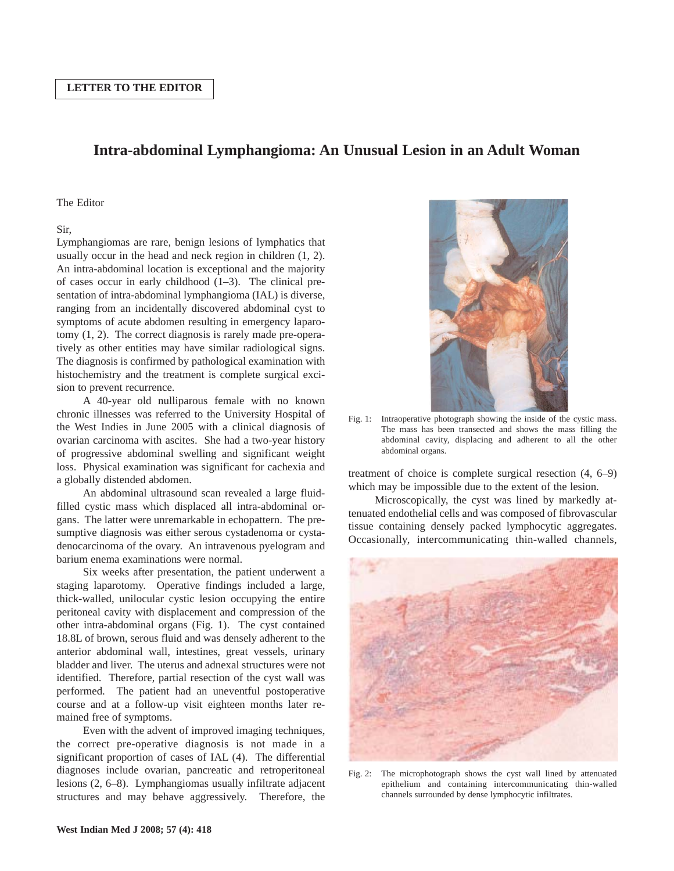## **Intra-abdominal Lymphangioma: An Unusual Lesion in an Adult Woman**

## The Editor

## Sir,

Lymphangiomas are rare, benign lesions of lymphatics that usually occur in the head and neck region in children (1, 2). An intra-abdominal location is exceptional and the majority of cases occur in early childhood (1–3). The clinical presentation of intra-abdominal lymphangioma (IAL) is diverse, ranging from an incidentally discovered abdominal cyst to symptoms of acute abdomen resulting in emergency laparotomy (1, 2). The correct diagnosis is rarely made pre-operatively as other entities may have similar radiological signs. The diagnosis is confirmed by pathological examination with histochemistry and the treatment is complete surgical excision to prevent recurrence.

A 40-year old nulliparous female with no known chronic illnesses was referred to the University Hospital of the West Indies in June 2005 with a clinical diagnosis of ovarian carcinoma with ascites. She had a two-year history of progressive abdominal swelling and significant weight loss. Physical examination was significant for cachexia and a globally distended abdomen.

An abdominal ultrasound scan revealed a large fluidfilled cystic mass which displaced all intra-abdominal organs. The latter were unremarkable in echopattern. The presumptive diagnosis was either serous cystadenoma or cystadenocarcinoma of the ovary. An intravenous pyelogram and barium enema examinations were normal.

Six weeks after presentation, the patient underwent a staging laparotomy. Operative findings included a large, thick-walled, unilocular cystic lesion occupying the entire peritoneal cavity with displacement and compression of the other intra-abdominal organs (Fig. 1). The cyst contained 18.8L of brown, serous fluid and was densely adherent to the anterior abdominal wall, intestines, great vessels, urinary bladder and liver. The uterus and adnexal structures were not identified. Therefore, partial resection of the cyst wall was performed. The patient had an uneventful postoperative course and at a follow-up visit eighteen months later remained free of symptoms.

Even with the advent of improved imaging techniques, the correct pre-operative diagnosis is not made in a significant proportion of cases of IAL (4). The differential diagnoses include ovarian, pancreatic and retroperitoneal lesions (2, 6–8). Lymphangiomas usually infiltrate adjacent structures and may behave aggressively. Therefore, the



Fig. 1: Intraoperative photograph showing the inside of the cystic mass. The mass has been transected and shows the mass filling the abdominal cavity, displacing and adherent to all the other abdominal organs.

treatment of choice is complete surgical resection (4, 6–9) which may be impossible due to the extent of the lesion.

Microscopically, the cyst was lined by markedly attenuated endothelial cells and was composed of fibrovascular tissue containing densely packed lymphocytic aggregates. Occasionally, intercommunicating thin-walled channels,



Fig. 2: The microphotograph shows the cyst wall lined by attenuated epithelium and containing intercommunicating thin-walled channels surrounded by dense lymphocytic infiltrates.